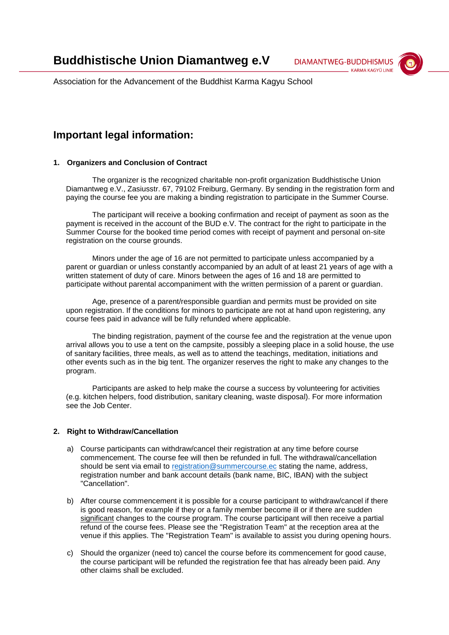**DIAMANTWEG-BUDDHISMUS KARMA KAGYÜ LINIE** 



Association for the Advancement of the Buddhist Karma Kagyu School

# **Important legal information:**

## **1. Organizers and Conclusion of Contract**

The organizer is the recognized charitable non-profit organization Buddhistische Union Diamantweg e.V., Zasiusstr. 67, 79102 Freiburg, Germany. By sending in the registration form and paying the course fee you are making a binding registration to participate in the Summer Course.

The participant will receive a booking confirmation and receipt of payment as soon as the payment is received in the account of the BUD e.V. The contract for the right to participate in the Summer Course for the booked time period comes with receipt of payment and personal on-site registration on the course grounds.

Minors under the age of 16 are not permitted to participate unless accompanied by a parent or guardian or unless constantly accompanied by an adult of at least 21 years of age with a written statement of duty of care. Minors between the ages of 16 and 18 are permitted to participate without parental accompaniment with the written permission of a parent or guardian.

Age, presence of a parent/responsible guardian and permits must be provided on site upon registration. If the conditions for minors to participate are not at hand upon registering, any course fees paid in advance will be fully refunded where applicable.

The binding registration, payment of the course fee and the registration at the venue upon arrival allows you to use a tent on the campsite, possibly a sleeping place in a solid house, the use of sanitary facilities, three meals, as well as to attend the teachings, meditation, initiations and other events such as in the big tent. The organizer reserves the right to make any changes to the program.

Participants are asked to help make the course a success by volunteering for activities (e.g. kitchen helpers, food distribution, sanitary cleaning, waste disposal). For more information see the Job Center.

## **2. Right to Withdraw/Cancellation**

- a) Course participants can withdraw/cancel their registration at any time before course commencement. The course fee will then be refunded in full. The withdrawal/cancellation should be sent via email to [registration@summercourse.ec](mailto:registration@summercourse.ec) stating the name, address, registration number and bank account details (bank name, BIC, IBAN) with the subject "Cancellation".
- b) After course commencement it is possible for a course participant to withdraw/cancel if there is good reason, for example if they or a family member become ill or if there are sudden significant changes to the course program. The course participant will then receive a partial refund of the course fees. Please see the "Registration Team" at the reception area at the venue if this applies. The "Registration Team" is available to assist you during opening hours.
- c) Should the organizer (need to) cancel the course before its commencement for good cause, the course participant will be refunded the registration fee that has already been paid. Any other claims shall be excluded.